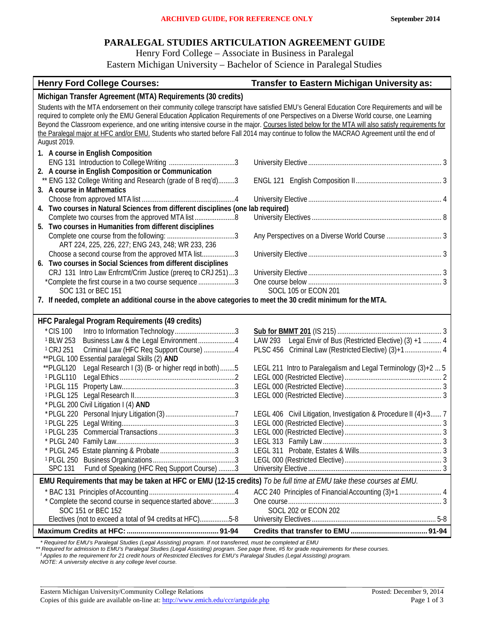# **PARALEGAL STUDIES ARTICULATION AGREEMENT GUIDE**

Henry Ford College – Associate in Business in Paralegal

Eastern Michigan University – Bachelor of Science in Paralegal Studies

| <b>Henry Ford College Courses:</b>                                                                                                                                                                                                                                                                                                                                                                                                                                                                                                                                                                           | Transfer to Eastern Michigan University as:                     |  |
|--------------------------------------------------------------------------------------------------------------------------------------------------------------------------------------------------------------------------------------------------------------------------------------------------------------------------------------------------------------------------------------------------------------------------------------------------------------------------------------------------------------------------------------------------------------------------------------------------------------|-----------------------------------------------------------------|--|
| Michigan Transfer Agreement (MTA) Requirements (30 credits)                                                                                                                                                                                                                                                                                                                                                                                                                                                                                                                                                  |                                                                 |  |
| Students with the MTA endorsement on their community college transcript have satisfied EMU's General Education Core Requirements and will be<br>required to complete only the EMU General Education Application Requirements of one Perspectives on a Diverse World course, one Learning<br>Beyond the Classroom experience, and one writing intensive course in the major. Courses listed below for the MTA will also satisfy requirements for<br>the Paralegal major at HFC and/or EMU. Students who started before Fall 2014 may continue to follow the MACRAO Agreement until the end of<br>August 2019. |                                                                 |  |
| 1. A course in English Composition                                                                                                                                                                                                                                                                                                                                                                                                                                                                                                                                                                           |                                                                 |  |
|                                                                                                                                                                                                                                                                                                                                                                                                                                                                                                                                                                                                              |                                                                 |  |
| 2. A course in English Composition or Communication                                                                                                                                                                                                                                                                                                                                                                                                                                                                                                                                                          |                                                                 |  |
| ** ENG 132 College Writing and Research (grade of B req'd)3                                                                                                                                                                                                                                                                                                                                                                                                                                                                                                                                                  |                                                                 |  |
| 3. A course in Mathematics                                                                                                                                                                                                                                                                                                                                                                                                                                                                                                                                                                                   |                                                                 |  |
|                                                                                                                                                                                                                                                                                                                                                                                                                                                                                                                                                                                                              |                                                                 |  |
| 4. Two courses in Natural Sciences from different disciplines (one lab required)                                                                                                                                                                                                                                                                                                                                                                                                                                                                                                                             |                                                                 |  |
| 5. Two courses in Humanities from different disciplines                                                                                                                                                                                                                                                                                                                                                                                                                                                                                                                                                      |                                                                 |  |
|                                                                                                                                                                                                                                                                                                                                                                                                                                                                                                                                                                                                              |                                                                 |  |
| ART 224, 225, 226, 227; ENG 243, 248; WR 233, 236                                                                                                                                                                                                                                                                                                                                                                                                                                                                                                                                                            |                                                                 |  |
| Choose a second course from the approved MTA list3                                                                                                                                                                                                                                                                                                                                                                                                                                                                                                                                                           |                                                                 |  |
| 6. Two courses in Social Sciences from different disciplines                                                                                                                                                                                                                                                                                                                                                                                                                                                                                                                                                 |                                                                 |  |
| CRJ 131 Intro Law Enfrcmt/Crim Justice (prereq to CRJ 251)3                                                                                                                                                                                                                                                                                                                                                                                                                                                                                                                                                  |                                                                 |  |
| *Complete the first course in a two course sequence 3                                                                                                                                                                                                                                                                                                                                                                                                                                                                                                                                                        |                                                                 |  |
| SOC 131 or BEC 151                                                                                                                                                                                                                                                                                                                                                                                                                                                                                                                                                                                           | SOCL 105 or ECON 201                                            |  |
| 7. If needed, complete an additional course in the above categories to meet the 30 credit minimum for the MTA.                                                                                                                                                                                                                                                                                                                                                                                                                                                                                               |                                                                 |  |
|                                                                                                                                                                                                                                                                                                                                                                                                                                                                                                                                                                                                              |                                                                 |  |
| HFC Paralegal Program Requirements (49 credits)                                                                                                                                                                                                                                                                                                                                                                                                                                                                                                                                                              |                                                                 |  |
| *CIS 100<br><sup>1</sup> BLW 253<br>Business Law & the Legal Environment4                                                                                                                                                                                                                                                                                                                                                                                                                                                                                                                                    | LAW 293 Legal Envir of Bus (Restricted Elective) (3) +1  4      |  |
| <sup>1</sup> CRJ 251<br>Criminal Law (HFC Req Support Course) 4                                                                                                                                                                                                                                                                                                                                                                                                                                                                                                                                              | PLSC 456 Criminal Law (Restricted Elective) (3)+1 4             |  |
| **PLGL 100 Essential paralegal Skills (2) AND                                                                                                                                                                                                                                                                                                                                                                                                                                                                                                                                                                |                                                                 |  |
| Legal Research I (3) (B- or higher reqd in both) 5<br>**PLGL120                                                                                                                                                                                                                                                                                                                                                                                                                                                                                                                                              | LEGL 211 Intro to Paralegalism and Legal Terminology (3)+2  5   |  |
| <sup>1</sup> PLGL110                                                                                                                                                                                                                                                                                                                                                                                                                                                                                                                                                                                         |                                                                 |  |
|                                                                                                                                                                                                                                                                                                                                                                                                                                                                                                                                                                                                              |                                                                 |  |
| <sup>1</sup> PLGL 125                                                                                                                                                                                                                                                                                                                                                                                                                                                                                                                                                                                        |                                                                 |  |
| * PLGL 200 Civil Litigation I (4) AND                                                                                                                                                                                                                                                                                                                                                                                                                                                                                                                                                                        |                                                                 |  |
|                                                                                                                                                                                                                                                                                                                                                                                                                                                                                                                                                                                                              | LEGL 406 Civil Litigation, Investigation & Procedure II (4)+3 7 |  |
|                                                                                                                                                                                                                                                                                                                                                                                                                                                                                                                                                                                                              |                                                                 |  |
|                                                                                                                                                                                                                                                                                                                                                                                                                                                                                                                                                                                                              |                                                                 |  |
|                                                                                                                                                                                                                                                                                                                                                                                                                                                                                                                                                                                                              |                                                                 |  |
|                                                                                                                                                                                                                                                                                                                                                                                                                                                                                                                                                                                                              |                                                                 |  |
| Fund of Speaking (HFC Req Support Course) 3<br><b>SPC 131</b>                                                                                                                                                                                                                                                                                                                                                                                                                                                                                                                                                |                                                                 |  |
| EMU Requirements that may be taken at HFC or EMU (12-15 credits) To be full time at EMU take these courses at EMU.                                                                                                                                                                                                                                                                                                                                                                                                                                                                                           |                                                                 |  |
|                                                                                                                                                                                                                                                                                                                                                                                                                                                                                                                                                                                                              |                                                                 |  |
| * Complete the second course in sequence started above:3                                                                                                                                                                                                                                                                                                                                                                                                                                                                                                                                                     |                                                                 |  |
| SOC 151 or BEC 152                                                                                                                                                                                                                                                                                                                                                                                                                                                                                                                                                                                           | SOCL 202 or ECON 202                                            |  |
| Electives (not to exceed a total of 94 credits at HFC)5-8                                                                                                                                                                                                                                                                                                                                                                                                                                                                                                                                                    |                                                                 |  |
|                                                                                                                                                                                                                                                                                                                                                                                                                                                                                                                                                                                                              |                                                                 |  |

*\* Required for EMU's Paralegal Studies (Legal Assisting) program. If not transferred, must be completed at EMU*

\*\* Required for admission to EMU's Paralegal Studies (Legal Assisting) program. See page three, #5 for grade requirements for these courses.<br><sup>1</sup> Applies to the requirement for 21 credit hours of Restricted Electives for EM

*NOTE: A university elective is any college level course.*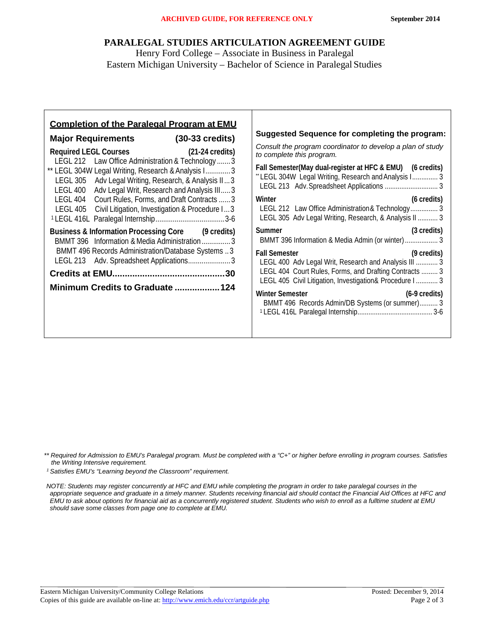### **PARALEGAL STUDIES ARTICULATION AGREEMENT GUIDE**

Henry Ford College – Associate in Business in Paralegal Eastern Michigan University – Bachelor of Science in Paralegal Studies

| <b>Completion of the Paralegal Program at EMU</b>                                                                                                                                                                                                                                                                                                                                                                         | Suggested Sequence for completing the program:                                                                                                                                                                                                                                                                                                             |
|---------------------------------------------------------------------------------------------------------------------------------------------------------------------------------------------------------------------------------------------------------------------------------------------------------------------------------------------------------------------------------------------------------------------------|------------------------------------------------------------------------------------------------------------------------------------------------------------------------------------------------------------------------------------------------------------------------------------------------------------------------------------------------------------|
| Major Requirements (30-33 credits)<br>Required LEGL Courses (21-24 credits)<br>LEGL 212 Law Office Administration & Technology3<br>** LEGL 304W Legal Writing, Research & Analysis I3<br>LEGL 305 Adv Legal Writing, Research, & Analysis II 3<br>LEGL 400 Adv Legal Writ, Research and Analysis III 3<br>LEGL 404 Court Rules, Forms, and Draft Contracts  3<br>LEGL 405 Civil Litigation, Investigation & Procedure I 3 | Consult the program coordinator to develop a plan of study<br>to complete this program.<br>Fall Semester(May dual-register at HFC & EMU) (6 credits)<br>"LEGL 304W Legal Writing, Research and Analysis I 3<br>(6 credits)<br>Winter<br>LEGL 212 Law Office Administration & Technology 3<br>LEGL 305 Adv Legal Writing, Research, & Analysis II  3        |
| Business & Information Processing Core (9 credits)<br>BMMT 396 Information & Media Administration3<br>BMMT 496 Records Administration/Database Systems 3<br>LEGL 213 Adv. Spreadsheet Applications3<br>Minimum Credits to Graduate 124                                                                                                                                                                                    | <b>Summer</b><br>(3 credits)<br><b>Fall Semester</b><br>(9 credits)<br>LEGL 400 Adv Legal Writ, Research and Analysis III  3<br>LEGL 404 Court Rules, Forms, and Drafting Contracts  3<br>LEGL 405 Civil Litigation, Investigation& Procedure I  3<br><b>Winter Semester</b><br>$(6-9 \text{ credits})$<br>BMMT 496 Records Admin/DB Systems (or summer) 3 |

*1 Satisfies EMU's "Learning beyond the Classroom" requirement.*

*<sup>\*\*</sup> Required for Admission to EMU's Paralegal program. Must be completed with a "C+" or higher before enrolling in program courses. Satisfies the Writing Intensive requirement.*

*NOTE: Students may register concurrently at HFC and EMU while completing the program in order to take paralegal courses in the appropriate sequence and graduate in a timely manner. Students receiving financial aid should contact the Financial Aid Offices at HFC and EMU to ask about options for financial aid as a concurrently registered student. Students who wish to enroll as a fulltime student at EMU should save some classes from page one to complete at EMU.*